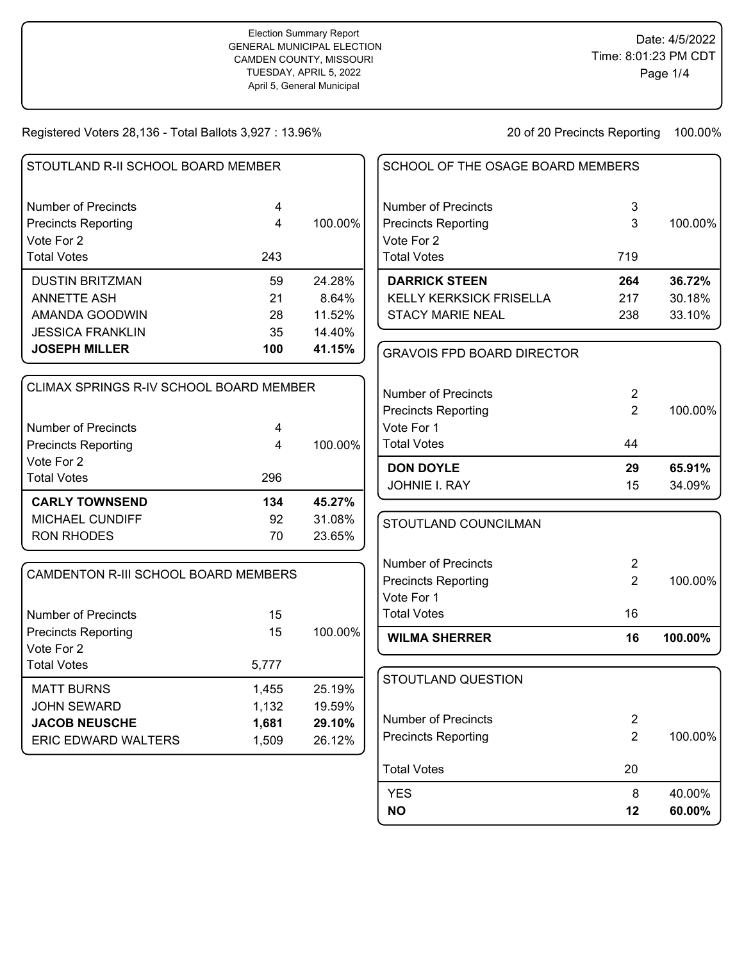## Election Summary Report GENERAL MUNICIPAL ELECTION CAMDEN COUNTY, MISSOURI TUESDAY, APRIL 5, 2022 April 5, General Municipal

Registered Voters 28,136 - Total Ballots 3,927 : 13.96% 20 20 of 20 Precincts Reporting 100.00%

YES 8 40.00% **NO 12 60.00%**

| STOUTLAND R-II SCHOOL BOARD MEMBER      |                         |         | SCHOOL OF THE OSAGE BOARD MEMBERS |                |         |
|-----------------------------------------|-------------------------|---------|-----------------------------------|----------------|---------|
| <b>Number of Precincts</b>              | 4                       |         | <b>Number of Precincts</b>        | 3              |         |
| <b>Precincts Reporting</b>              | 4                       | 100.00% | <b>Precincts Reporting</b>        | 3              | 100.00% |
| Vote For 2                              |                         |         | Vote For 2                        |                |         |
| <b>Total Votes</b>                      | 243                     |         | <b>Total Votes</b>                | 719            |         |
| <b>DUSTIN BRITZMAN</b>                  | 59                      | 24.28%  | <b>DARRICK STEEN</b>              | 264            | 36.72%  |
| <b>ANNETTE ASH</b>                      | 21                      | 8.64%   | KELLY KERKSICK FRISELLA           | 217            | 30.18%  |
| AMANDA GOODWIN                          | 28                      | 11.52%  | <b>STACY MARIE NEAL</b>           | 238            | 33.10%  |
| <b>JESSICA FRANKLIN</b>                 | 35                      | 14.40%  |                                   |                |         |
| <b>JOSEPH MILLER</b>                    | 100                     | 41.15%  | <b>GRAVOIS FPD BOARD DIRECTOR</b> |                |         |
|                                         |                         |         |                                   |                |         |
| CLIMAX SPRINGS R-IV SCHOOL BOARD MEMBER |                         |         | <b>Number of Precincts</b>        | $\overline{2}$ |         |
|                                         |                         |         | <b>Precincts Reporting</b>        | $\overline{2}$ | 100.00% |
| <b>Number of Precincts</b>              | $\overline{\mathbf{4}}$ |         | Vote For 1                        |                |         |
| <b>Precincts Reporting</b>              | $\overline{4}$          | 100.00% | <b>Total Votes</b>                | 44             |         |
| Vote For 2                              |                         |         | <b>DON DOYLE</b>                  | 29             | 65.91%  |
| <b>Total Votes</b>                      | 296                     |         | JOHNIE I. RAY                     | 15             | 34.09%  |
| <b>CARLY TOWNSEND</b>                   | 134                     | 45.27%  |                                   |                |         |
| MICHAEL CUNDIFF                         | 92                      | 31.08%  | STOUTLAND COUNCILMAN              |                |         |
| <b>RON RHODES</b>                       | 70                      | 23.65%  |                                   |                |         |
|                                         |                         |         | <b>Number of Precincts</b>        | $\overline{2}$ |         |
| CAMDENTON R-III SCHOOL BOARD MEMBERS    |                         |         | <b>Precincts Reporting</b>        | $\overline{2}$ | 100.00% |
|                                         |                         |         | Vote For 1                        |                |         |
| <b>Number of Precincts</b>              | 15                      |         | <b>Total Votes</b>                | 16             |         |
| <b>Precincts Reporting</b>              | 15                      | 100.00% | <b>WILMA SHERRER</b>              | 16             | 100.00% |
| Vote For 2                              |                         |         |                                   |                |         |
| <b>Total Votes</b>                      | 5,777                   |         |                                   |                |         |
| <b>MATT BURNS</b>                       | 1,455                   | 25.19%  | STOUTLAND QUESTION                |                |         |
| <b>JOHN SEWARD</b>                      | 1,132                   | 19.59%  |                                   |                |         |
| <b>JACOB NEUSCHE</b>                    | 1,681                   | 29.10%  | <b>Number of Precincts</b>        | $\overline{2}$ |         |
| ERIC EDWARD WALTERS                     | 1,509                   | 26.12%  | <b>Precincts Reporting</b>        | $\overline{2}$ | 100.00% |
|                                         |                         |         | <b>Total Votes</b>                | 20             |         |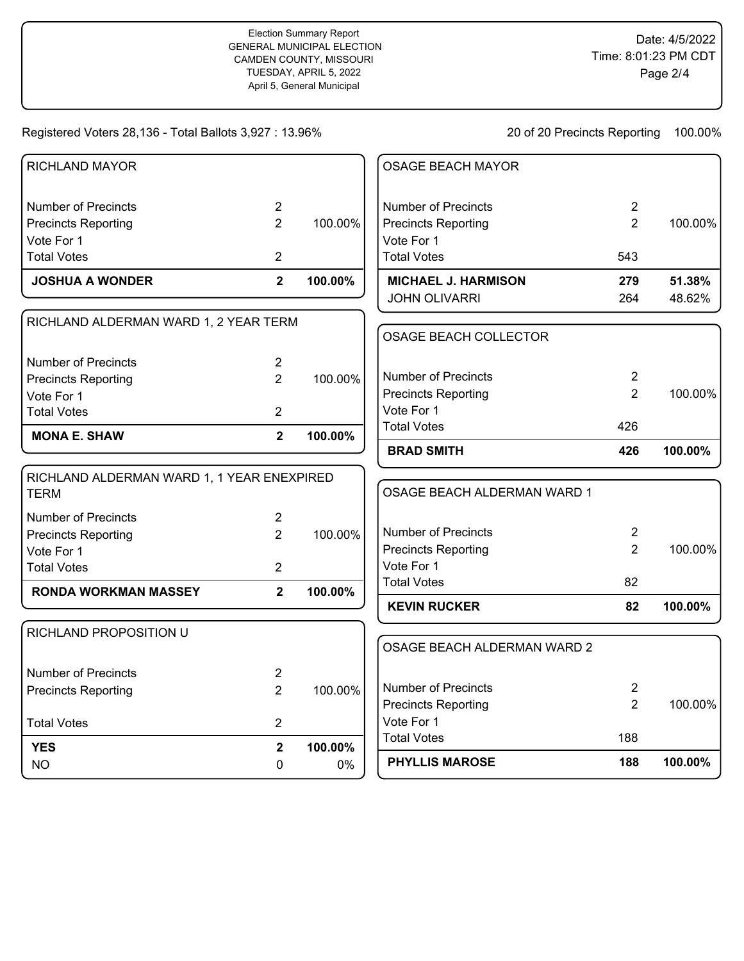Registered Voters 28,136 - Total Ballots 3,927 : 13.96% 20 20 of 20 Precincts Reporting 100.00%

| <b>NO</b>                                         | 0                                | 0%      | <b>PHYLLIS MAROSE</b>                             | 188                              | 100.00% |
|---------------------------------------------------|----------------------------------|---------|---------------------------------------------------|----------------------------------|---------|
| <b>YES</b>                                        | $\overline{2}$                   | 100.00% | <b>Total Votes</b>                                | 188                              |         |
| <b>Total Votes</b>                                | $\overline{2}$                   |         | Vote For 1                                        |                                  |         |
|                                                   |                                  |         | <b>Precincts Reporting</b>                        | $\overline{2}$                   | 100.00% |
| Number of Precincts<br><b>Precincts Reporting</b> | $\overline{c}$<br>$\overline{2}$ | 100.00% | <b>Number of Precincts</b>                        | $\overline{2}$                   |         |
| RICHLAND PROPOSITION U                            |                                  |         | OSAGE BEACH ALDERMAN WARD 2                       |                                  |         |
|                                                   |                                  |         |                                                   |                                  |         |
| <b>RONDA WORKMAN MASSEY</b>                       | $\overline{2}$                   | 100.00% | <b>KEVIN RUCKER</b>                               | 82                               | 100.00% |
| <b>Total Votes</b>                                | $\overline{2}$                   |         | <b>Total Votes</b>                                | 82                               |         |
| Vote For 1                                        |                                  |         | <b>Precincts Reporting</b><br>Vote For 1          | $\overline{2}$                   | 100.00% |
| <b>Precincts Reporting</b>                        | $\overline{2}$                   | 100.00% | <b>Number of Precincts</b>                        | $\overline{2}$                   |         |
| <b>TERM</b><br><b>Number of Precincts</b>         | $\overline{2}$                   |         | OSAGE BEACH ALDERMAN WARD 1                       |                                  |         |
| RICHLAND ALDERMAN WARD 1, 1 YEAR ENEXPIRED        |                                  |         |                                                   |                                  |         |
| <b>MONA E. SHAW</b>                               | $\overline{2}$                   | 100.00% | <b>BRAD SMITH</b>                                 | 426                              | 100.00% |
|                                                   |                                  |         | <b>Total Votes</b>                                | 426                              |         |
| Vote For 1<br><b>Total Votes</b>                  | $\overline{2}$                   |         | Vote For 1                                        |                                  |         |
| <b>Precincts Reporting</b>                        | $\overline{2}$                   | 100.00% | Number of Precincts<br><b>Precincts Reporting</b> | $\overline{2}$<br>$\overline{2}$ | 100.00% |
| <b>Number of Precincts</b>                        | $\overline{2}$                   |         |                                                   |                                  |         |
| RICHLAND ALDERMAN WARD 1, 2 YEAR TERM             |                                  |         | <b>OSAGE BEACH COLLECTOR</b>                      |                                  |         |
|                                                   |                                  |         | JOHN OLIVARRI                                     | 264                              | 48.62%  |
| <b>JOSHUA A WONDER</b>                            | $\overline{2}$                   | 100.00% | <b>MICHAEL J. HARMISON</b>                        | 279                              | 51.38%  |
| <b>Total Votes</b>                                | $\overline{2}$                   |         | <b>Total Votes</b>                                | 543                              |         |
| Vote For 1                                        |                                  |         | Vote For 1                                        |                                  |         |
| Precincts Reporting                               | $\overline{2}$                   | 100.00% | <b>Precincts Reporting</b>                        | $\overline{2}$                   | 100.00% |
| <b>Number of Precincts</b>                        | $\overline{2}$                   |         | <b>Number of Precincts</b>                        | 2                                |         |
| RICHLAND MAYOR                                    |                                  |         | <b>OSAGE BEACH MAYOR</b>                          |                                  |         |
|                                                   |                                  |         |                                                   |                                  |         |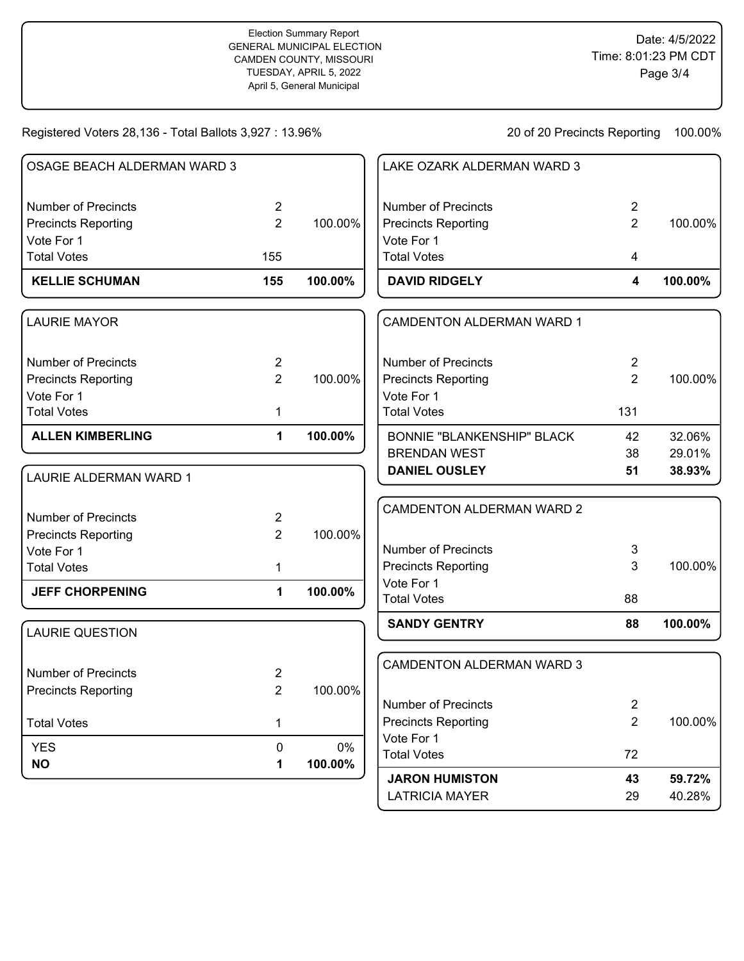Registered Voters 28,136 - Total Ballots 3,927 : 13.96% 20 20 of 20 Precincts Reporting 100.00%

LATRICIA MAYER 29 40.28%

|                             |                |         | <b>JARON HUMISTON</b>             | 43             | 59.72%  |
|-----------------------------|----------------|---------|-----------------------------------|----------------|---------|
| <b>NO</b>                   | 1              | 100.00% | <b>Total Votes</b>                | 72             |         |
| <b>YES</b>                  | 0              | 0%      | Vote For 1                        |                |         |
| <b>Total Votes</b>          | 1              |         | <b>Precincts Reporting</b>        | $\overline{2}$ | 100.00% |
|                             |                |         | <b>Number of Precincts</b>        | $\overline{2}$ |         |
| <b>Precincts Reporting</b>  | $\overline{2}$ | 100.00% |                                   |                |         |
| <b>Number of Precincts</b>  | $\overline{c}$ |         | CAMDENTON ALDERMAN WARD 3         |                |         |
| <b>LAURIE QUESTION</b>      |                |         | <b>SANDY GENTRY</b>               | 88             | 100.00% |
|                             |                |         | <b>Total Votes</b>                | 88             |         |
| <b>JEFF CHORPENING</b>      | $\mathbf{1}$   | 100.00% | Vote For 1                        |                |         |
| <b>Total Votes</b>          | $\mathbf{1}$   |         | <b>Precincts Reporting</b>        | 3              | 100.00% |
| Vote For 1                  |                |         | <b>Number of Precincts</b>        | 3              |         |
| <b>Precincts Reporting</b>  | $\overline{2}$ | 100.00% |                                   |                |         |
| <b>Number of Precincts</b>  | $\overline{2}$ |         | <b>CAMDENTON ALDERMAN WARD 2</b>  |                |         |
| LAURIE ALDERMAN WARD 1      |                |         | <b>DANIEL OUSLEY</b>              | 51             | 38.93%  |
|                             |                |         | <b>BRENDAN WEST</b>               | 38             | 29.01%  |
| <b>ALLEN KIMBERLING</b>     | $\mathbf{1}$   | 100.00% | <b>BONNIE "BLANKENSHIP" BLACK</b> | 42             | 32.06%  |
| <b>Total Votes</b>          | 1              |         | <b>Total Votes</b>                | 131            |         |
| Vote For 1                  |                |         | Vote For 1                        |                |         |
| <b>Precincts Reporting</b>  | $\overline{2}$ | 100.00% | <b>Precincts Reporting</b>        | $\overline{2}$ | 100.00% |
| <b>Number of Precincts</b>  | $\overline{2}$ |         | <b>Number of Precincts</b>        | $\overline{2}$ |         |
| <b>LAURIE MAYOR</b>         |                |         | <b>CAMDENTON ALDERMAN WARD 1</b>  |                |         |
| <b>KELLIE SCHUMAN</b>       | 155            | 100.00% | <b>DAVID RIDGELY</b>              | 4              | 100.00% |
| <b>Total Votes</b>          | 155            |         | <b>Total Votes</b>                | 4              |         |
| Vote For 1                  |                |         | Vote For 1                        |                |         |
| <b>Precincts Reporting</b>  | $\overline{2}$ | 100.00% | <b>Precincts Reporting</b>        | $\overline{2}$ | 100.00% |
| <b>Number of Precincts</b>  | $\overline{2}$ |         | <b>Number of Precincts</b>        | $\overline{2}$ |         |
| OSAGE BEACH ALDERMAN WARD 3 |                |         | LAKE OZARK ALDERMAN WARD 3        |                |         |
|                             |                |         |                                   |                |         |